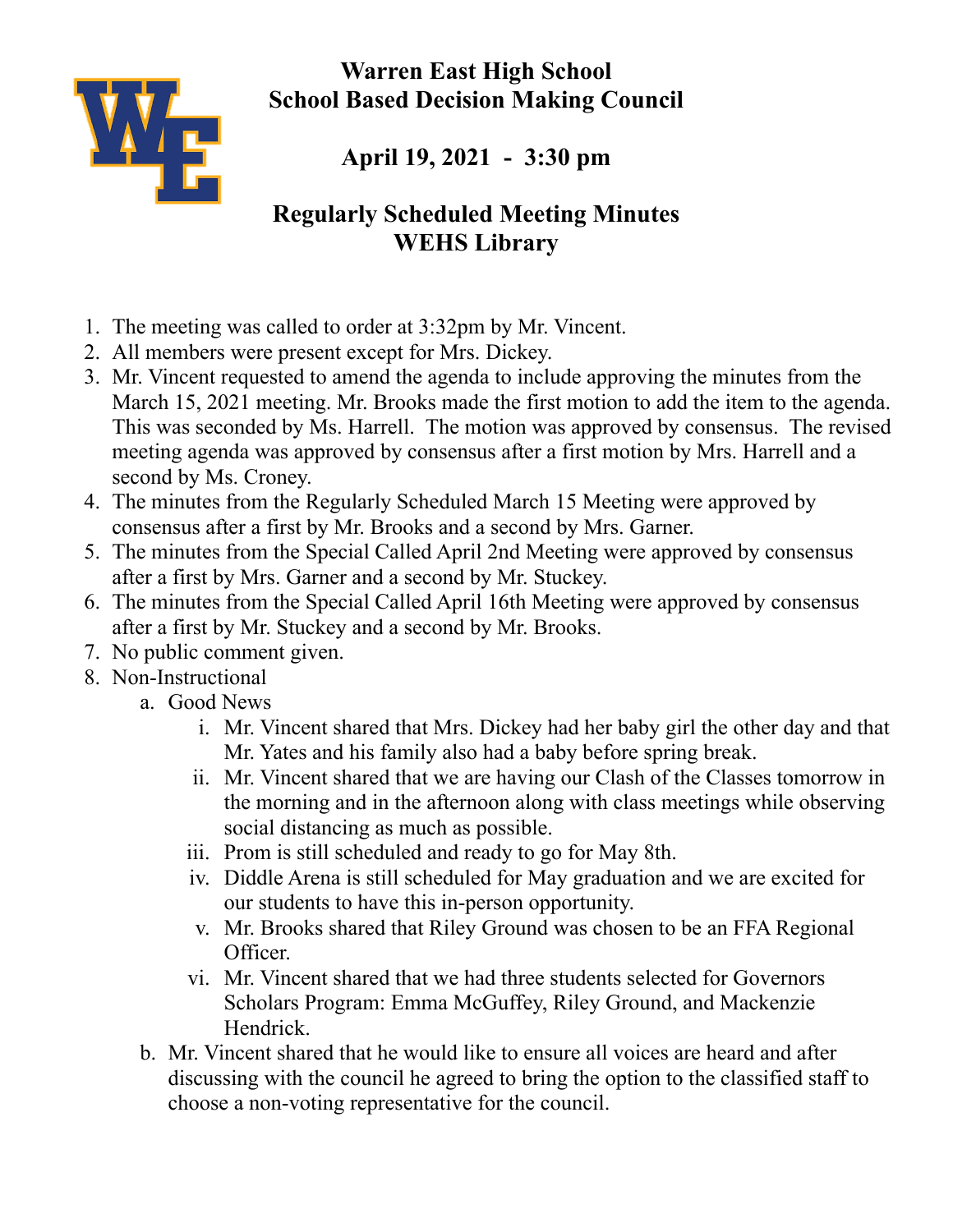**Warren East High School School Based Decision Making Council**



**April 19, 2021 - 3:30 pm**

## **Regularly Scheduled Meeting Minutes WEHS Library**

- 1. The meeting was called to order at 3:32pm by Mr. Vincent.
- 2. All members were present except for Mrs. Dickey.
- 3. Mr. Vincent requested to amend the agenda to include approving the minutes from the March 15, 2021 meeting. Mr. Brooks made the first motion to add the item to the agenda. This was seconded by Ms. Harrell. The motion was approved by consensus. The revised meeting agenda was approved by consensus after a first motion by Mrs. Harrell and a second by Ms. Croney.
- 4. The minutes from the Regularly Scheduled March 15 Meeting were approved by consensus after a first by Mr. Brooks and a second by Mrs. Garner.
- 5. The minutes from the Special Called April 2nd Meeting were approved by consensus after a first by Mrs. Garner and a second by Mr. Stuckey.
- 6. The minutes from the Special Called April 16th Meeting were approved by consensus after a first by Mr. Stuckey and a second by Mr. Brooks.
- 7. No public comment given.
- 8. Non-Instructional
	- a. Good News
		- i. Mr. Vincent shared that Mrs. Dickey had her baby girl the other day and that Mr. Yates and his family also had a baby before spring break.
		- ii. Mr. Vincent shared that we are having our Clash of the Classes tomorrow in the morning and in the afternoon along with class meetings while observing social distancing as much as possible.
		- iii. Prom is still scheduled and ready to go for May 8th.
		- iv. Diddle Arena is still scheduled for May graduation and we are excited for our students to have this in-person opportunity.
		- v. Mr. Brooks shared that Riley Ground was chosen to be an FFA Regional Officer.
		- vi. Mr. Vincent shared that we had three students selected for Governors Scholars Program: Emma McGuffey, Riley Ground, and Mackenzie Hendrick.
	- b. Mr. Vincent shared that he would like to ensure all voices are heard and after discussing with the council he agreed to bring the option to the classified staff to choose a non-voting representative for the council.